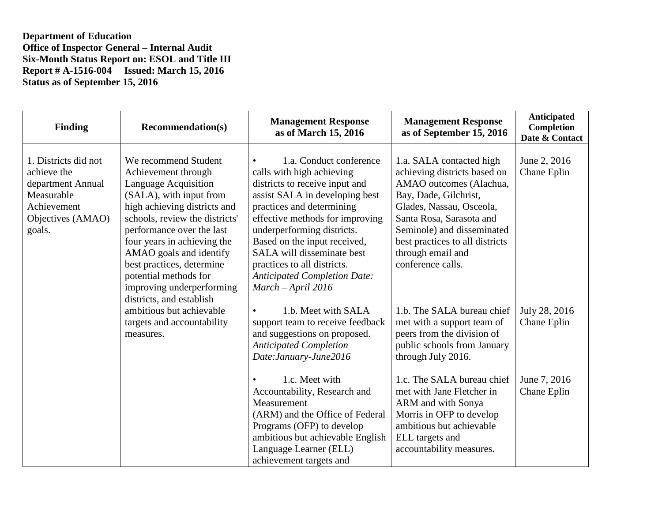| <b>Finding</b>                                                                                                       | <b>Recommendation(s)</b>                                                                                                                                                                                                                                                                                                                                               | <b>Management Response</b><br>as of March 15, 2016                                                                                                                                                                                                                                                                                                                                            | <b>Management Response</b><br>as of September 15, 2016                                                                                                                                                                                                                          | Anticipated<br>Completion<br>Date & Contact |
|----------------------------------------------------------------------------------------------------------------------|------------------------------------------------------------------------------------------------------------------------------------------------------------------------------------------------------------------------------------------------------------------------------------------------------------------------------------------------------------------------|-----------------------------------------------------------------------------------------------------------------------------------------------------------------------------------------------------------------------------------------------------------------------------------------------------------------------------------------------------------------------------------------------|---------------------------------------------------------------------------------------------------------------------------------------------------------------------------------------------------------------------------------------------------------------------------------|---------------------------------------------|
| 1. Districts did not<br>achieve the<br>department Annual<br>Measurable<br>Achievement<br>Objectives (AMAO)<br>goals. | We recommend Student<br>Achievement through<br>Language Acquisition<br>(SALA), with input from<br>high achieving districts and<br>schools, review the districts'<br>performance over the last<br>four years in achieving the<br>AMAO goals and identify<br>best practices, determine<br>potential methods for<br>improving underperforming<br>districts, and establish | 1.a. Conduct conference<br>$\bullet$<br>calls with high achieving<br>districts to receive input and<br>assist SALA in developing best<br>practices and determining<br>effective methods for improving<br>underperforming districts.<br>Based on the input received,<br>SALA will disseminate best<br>practices to all districts.<br><b>Anticipated Completion Date:</b><br>March - April 2016 | 1.a. SALA contacted high<br>achieving districts based on<br>AMAO outcomes (Alachua,<br>Bay, Dade, Gilchrist,<br>Glades, Nassau, Osceola,<br>Santa Rosa, Sarasota and<br>Seminole) and disseminated<br>best practices to all districts<br>through email and<br>conference calls. | June 2, 2016<br>Chane Eplin                 |
|                                                                                                                      | ambitious but achievable<br>targets and accountability<br>measures.                                                                                                                                                                                                                                                                                                    | 1.b. Meet with SALA<br>$\bullet$<br>support team to receive feedback<br>and suggestions on proposed.<br><b>Anticipated Completion</b><br>Date: January-June2016                                                                                                                                                                                                                               | 1.b. The SALA bureau chief<br>met with a support team of<br>peers from the division of<br>public schools from January<br>through July 2016.                                                                                                                                     | July 28, 2016<br>Chane Eplin                |
|                                                                                                                      |                                                                                                                                                                                                                                                                                                                                                                        | 1.c. Meet with<br>Accountability, Research and<br>Measurement<br>(ARM) and the Office of Federal<br>Programs (OFP) to develop<br>ambitious but achievable English<br>Language Learner (ELL)<br>achievement targets and                                                                                                                                                                        | 1.c. The SALA bureau chief<br>met with Jane Fletcher in<br>ARM and with Sonya<br>Morris in OFP to develop<br>ambitious but achievable<br>ELL targets and<br>accountability measures.                                                                                            | June 7, 2016<br>Chane Eplin                 |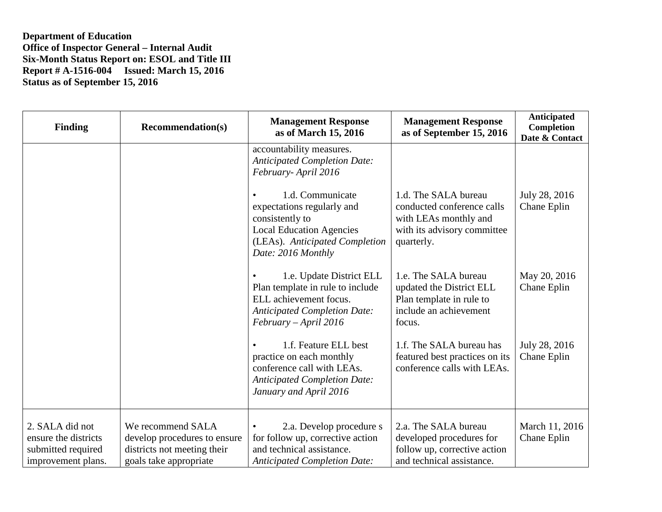| <b>Finding</b>                                                                      | <b>Recommendation(s)</b>                                                                                   | <b>Management Response</b><br>as of March 15, 2016                                                                                                           | <b>Management Response</b><br>as of September 15, 2016                                                                   | <b>Anticipated</b><br>Completion<br>Date & Contact |
|-------------------------------------------------------------------------------------|------------------------------------------------------------------------------------------------------------|--------------------------------------------------------------------------------------------------------------------------------------------------------------|--------------------------------------------------------------------------------------------------------------------------|----------------------------------------------------|
|                                                                                     |                                                                                                            | accountability measures.<br><b>Anticipated Completion Date:</b><br>February-April 2016                                                                       |                                                                                                                          |                                                    |
|                                                                                     |                                                                                                            | 1.d. Communicate<br>expectations regularly and<br>consistently to<br><b>Local Education Agencies</b><br>(LEAs). Anticipated Completion<br>Date: 2016 Monthly | 1.d. The SALA bureau<br>conducted conference calls<br>with LEAs monthly and<br>with its advisory committee<br>quarterly. | July 28, 2016<br>Chane Eplin                       |
|                                                                                     |                                                                                                            | 1.e. Update District ELL<br>Plan template in rule to include<br>ELL achievement focus.<br><b>Anticipated Completion Date:</b><br>$February - April 2016$     | 1.e. The SALA bureau<br>updated the District ELL<br>Plan template in rule to<br>include an achievement<br>focus.         | May 20, 2016<br>Chane Eplin                        |
|                                                                                     |                                                                                                            | 1.f. Feature ELL best<br>practice on each monthly<br>conference call with LEAs.<br><b>Anticipated Completion Date:</b><br>January and April 2016             | 1.f. The SALA bureau has<br>featured best practices on its<br>conference calls with LEAs.                                | July 28, 2016<br>Chane Eplin                       |
| 2. SALA did not<br>ensure the districts<br>submitted required<br>improvement plans. | We recommend SALA<br>develop procedures to ensure<br>districts not meeting their<br>goals take appropriate | 2.a. Develop procedure s<br>for follow up, corrective action<br>and technical assistance.<br><b>Anticipated Completion Date:</b>                             | 2.a. The SALA bureau<br>developed procedures for<br>follow up, corrective action<br>and technical assistance.            | March 11, 2016<br>Chane Eplin                      |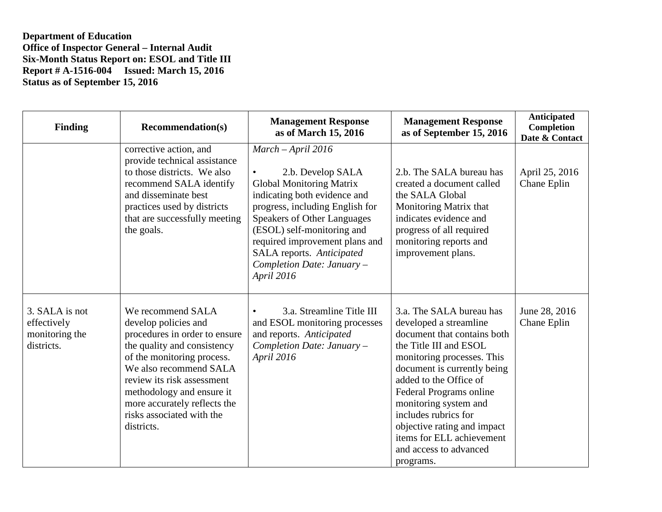| <b>Finding</b>                                                | <b>Recommendation(s)</b>                                                                                                                                                                                                                                                                                | <b>Management Response</b><br>as of March 15, 2016                                                                                                                                                                                                                                                                             | <b>Management Response</b><br>as of September 15, 2016                                                                                                                                                                                                                                                                                                                            | Anticipated<br>Completion<br>Date & Contact |
|---------------------------------------------------------------|---------------------------------------------------------------------------------------------------------------------------------------------------------------------------------------------------------------------------------------------------------------------------------------------------------|--------------------------------------------------------------------------------------------------------------------------------------------------------------------------------------------------------------------------------------------------------------------------------------------------------------------------------|-----------------------------------------------------------------------------------------------------------------------------------------------------------------------------------------------------------------------------------------------------------------------------------------------------------------------------------------------------------------------------------|---------------------------------------------|
|                                                               | corrective action, and<br>provide technical assistance<br>to those districts. We also<br>recommend SALA identify<br>and disseminate best<br>practices used by districts<br>that are successfully meeting<br>the goals.                                                                                  | $March - April 2016$<br>2.b. Develop SALA<br><b>Global Monitoring Matrix</b><br>indicating both evidence and<br>progress, including English for<br><b>Speakers of Other Languages</b><br>(ESOL) self-monitoring and<br>required improvement plans and<br>SALA reports. Anticipated<br>Completion Date: January -<br>April 2016 | 2.b. The SALA bureau has<br>created a document called<br>the SALA Global<br>Monitoring Matrix that<br>indicates evidence and<br>progress of all required<br>monitoring reports and<br>improvement plans.                                                                                                                                                                          | April 25, 2016<br>Chane Eplin               |
| 3. SALA is not<br>effectively<br>monitoring the<br>districts. | We recommend SALA<br>develop policies and<br>procedures in order to ensure<br>the quality and consistency<br>of the monitoring process.<br>We also recommend SALA<br>review its risk assessment<br>methodology and ensure it<br>more accurately reflects the<br>risks associated with the<br>districts. | 3.a. Streamline Title III<br>and ESOL monitoring processes<br>and reports. Anticipated<br>Completion Date: January -<br>April 2016                                                                                                                                                                                             | 3.a. The SALA bureau has<br>developed a streamline<br>document that contains both<br>the Title III and ESOL<br>monitoring processes. This<br>document is currently being<br>added to the Office of<br>Federal Programs online<br>monitoring system and<br>includes rubrics for<br>objective rating and impact<br>items for ELL achievement<br>and access to advanced<br>programs. | June 28, 2016<br>Chane Eplin                |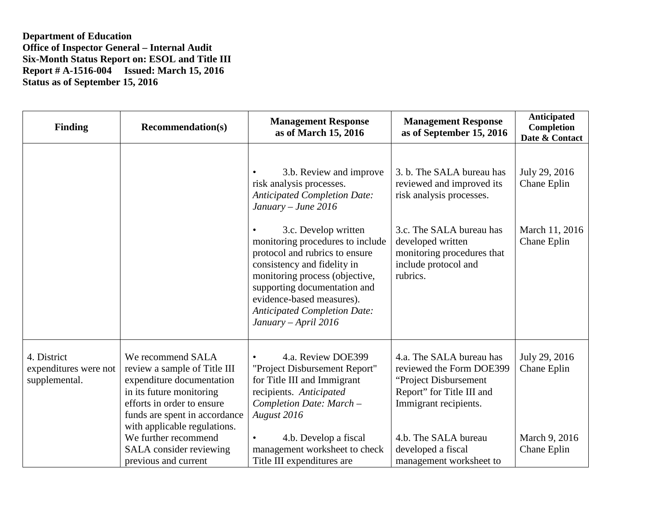| <b>Finding</b>                                        | <b>Recommendation(s)</b>                                                                                                                                                                                  | <b>Management Response</b><br>as of March 15, 2016                                                                                                                                                                                                                                      | <b>Management Response</b><br>as of September 15, 2016                                                                               | <b>Anticipated</b><br>Completion<br>Date & Contact |
|-------------------------------------------------------|-----------------------------------------------------------------------------------------------------------------------------------------------------------------------------------------------------------|-----------------------------------------------------------------------------------------------------------------------------------------------------------------------------------------------------------------------------------------------------------------------------------------|--------------------------------------------------------------------------------------------------------------------------------------|----------------------------------------------------|
|                                                       |                                                                                                                                                                                                           | 3.b. Review and improve<br>risk analysis processes.<br><b>Anticipated Completion Date:</b><br>$January - June 2016$                                                                                                                                                                     | 3. b. The SALA bureau has<br>reviewed and improved its<br>risk analysis processes.                                                   | July 29, 2016<br>Chane Eplin                       |
|                                                       |                                                                                                                                                                                                           | 3.c. Develop written<br>monitoring procedures to include<br>protocol and rubrics to ensure<br>consistency and fidelity in<br>monitoring process (objective,<br>supporting documentation and<br>evidence-based measures).<br><b>Anticipated Completion Date:</b><br>January – April 2016 | 3.c. The SALA bureau has<br>developed written<br>monitoring procedures that<br>include protocol and<br>rubrics.                      | March 11, 2016<br>Chane Eplin                      |
| 4. District<br>expenditures were not<br>supplemental. | We recommend SALA<br>review a sample of Title III<br>expenditure documentation<br>in its future monitoring<br>efforts in order to ensure<br>funds are spent in accordance<br>with applicable regulations. | 4.a. Review DOE399<br>$\bullet$<br>"Project Disbursement Report"<br>for Title III and Immigrant<br>recipients. Anticipated<br>Completion Date: March -<br>August 2016                                                                                                                   | 4.a. The SALA bureau has<br>reviewed the Form DOE399<br>"Project Disbursement"<br>Report" for Title III and<br>Immigrant recipients. | July 29, 2016<br>Chane Eplin                       |
|                                                       | We further recommend<br>SALA consider reviewing<br>previous and current                                                                                                                                   | 4.b. Develop a fiscal<br>$\bullet$<br>management worksheet to check<br>Title III expenditures are                                                                                                                                                                                       | 4.b. The SALA bureau<br>developed a fiscal<br>management worksheet to                                                                | March 9, 2016<br>Chane Eplin                       |